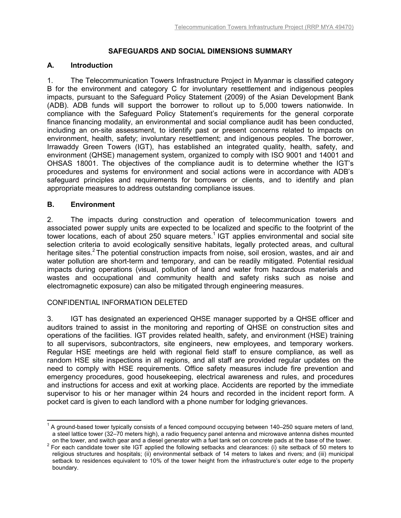# **SAFEGUARDS AND SOCIAL DIMENSIONS SUMMARY**

### **A. Introduction**

1. The Telecommunication Towers Infrastructure Project in Myanmar is classified category B for the environment and category C for involuntary resettlement and indigenous peoples impacts, pursuant to the Safeguard Policy Statement (2009) of the Asian Development Bank (ADB). ADB funds will support the borrower to rollout up to 5,000 towers nationwide. In compliance with the Safeguard Policy Statement's requirements for the general corporate finance financing modality, an environmental and social compliance audit has been conducted, including an on-site assessment, to identify past or present concerns related to impacts on environment, health, safety; involuntary resettlement; and indigenous peoples. The borrower, Irrawaddy Green Towers (IGT), has established an integrated quality, health, safety, and environment (QHSE) management system, organized to comply with ISO 9001 and 14001 and OHSAS 18001. The objectives of the compliance audit is to determine whether the IGT's procedures and systems for environment and social actions were in accordance with ADB's safeguard principles and requirements for borrowers or clients, and to identify and plan appropriate measures to address outstanding compliance issues.

## **B. Environment**

 $\overline{1}$ 

2. The impacts during construction and operation of telecommunication towers and associated power supply units are expected to be localized and specific to the footprint of the tower locations, each of about 250 square meters.<sup>1</sup> IGT applies environmental and social site selection criteria to avoid ecologically sensitive habitats, legally protected areas, and cultural heritage sites.<sup>2</sup> The potential construction impacts from noise, soil erosion, wastes, and air and water pollution are short-term and temporary, and can be readily mitigated. Potential residual impacts during operations (visual, pollution of land and water from hazardous materials and wastes and occupational and community health and safety risks such as noise and electromagnetic exposure) can also be mitigated through engineering measures.

## CONFIDENTIAL INFORMATION DELETED

3. IGT has designated an experienced QHSE manager supported by a QHSE officer and auditors trained to assist in the monitoring and reporting of QHSE on construction sites and operations of the facilities. IGT provides related health, safety, and environment (HSE) training to all supervisors, subcontractors, site engineers, new employees, and temporary workers. Regular HSE meetings are held with regional field staff to ensure compliance, as well as random HSE site inspections in all regions, and all staff are provided regular updates on the need to comply with HSE requirements. Office safety measures include fire prevention and emergency procedures, good housekeeping, electrical awareness and rules, and procedures and instructions for access and exit at working place. Accidents are reported by the immediate supervisor to his or her manager within 24 hours and recorded in the incident report form. A pocket card is given to each landlord with a phone number for lodging grievances.

<sup>1</sup> A ground-based tower typically consists of a fenced compound occupying between 140–250 square meters of land, a steel lattice tower (32–70 meters high), a radio frequency panel antenna and microwave antenna dishes mounted on the tower, and switch gear and a diesel generator with a fuel tank set on concrete pads at the base of the tower.

 $2$  For each candidate tower site IGT applied the following setbacks and clearances: (i) site setback of 50 meters to religious structures and hospitals; (ii) environmental setback of 14 meters to lakes and rivers; and (iii) municipal setback to residences equivalent to 10% of the tower height from the infrastructure's outer edge to the property boundary.